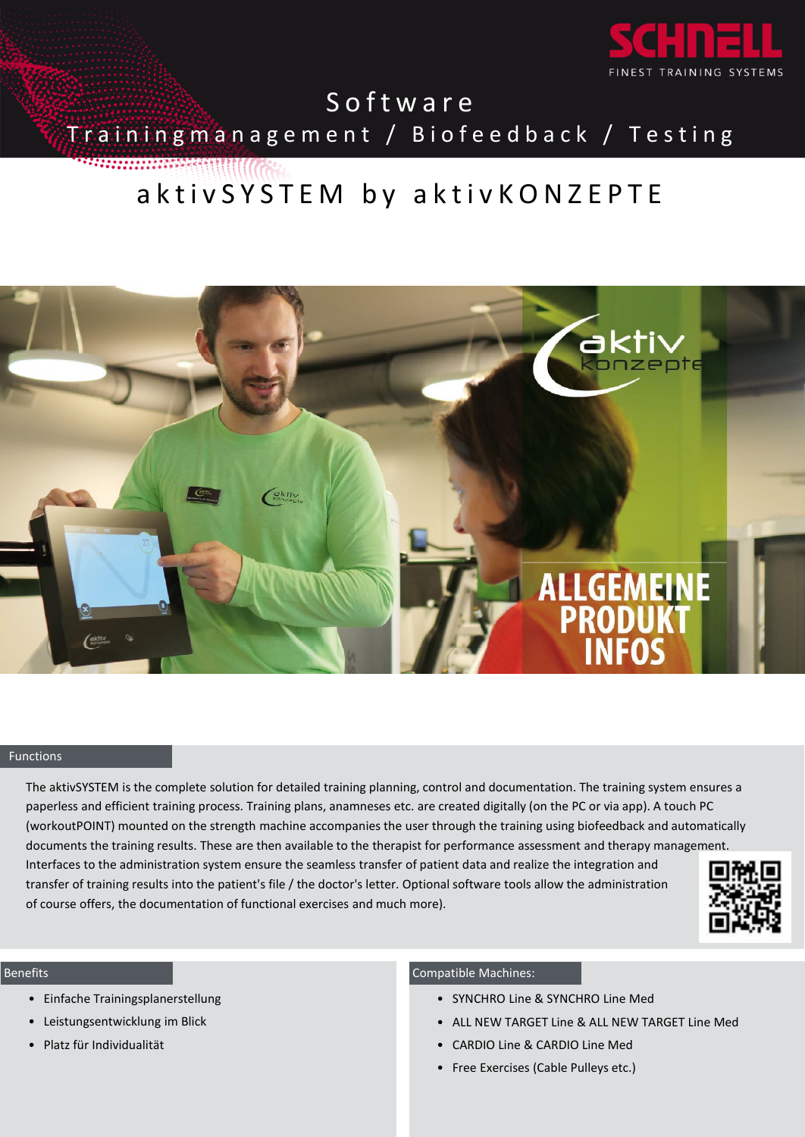

**Software** Training management / Biofeedback / Testing ,,,,,,,,,,,,,,,

aktiv S Y S T E M by aktiv K O N Z E P T E



## Functions

The aktivSYSTEM is the complete solution for detailed training planning, control and documentation. The training system ensures a paperless and efficient training process. Training plans, anamneses etc. are created digitally (on the PC or via app). A touch PC (workoutPOINT) mounted on the strength machine accompanies the user through the training using biofeedback and automatically documents the training results. These are then available to the therapist for performance assessment and therapy management. Interfaces to the administration system ensure the seamless transfer of patient data and realize the integration and transfer of training results into the patient's file / the doctor's letter. Optional software tools allow the administration of course offers, the documentation of functional exercises and much more).



#### Benefits

- Einfache Trainingsplanerstellung
- Leistungsentwicklung im Blick
- Platz für Individualität

# Compatible Machines:

- SYNCHRO Line & SYNCHRO Line Med
- ALL NEW TARGET Line & ALL NEW TARGET Line Med
- CARDIO Line & CARDIO Line Med
- Free Exercises (Cable Pulleys etc.)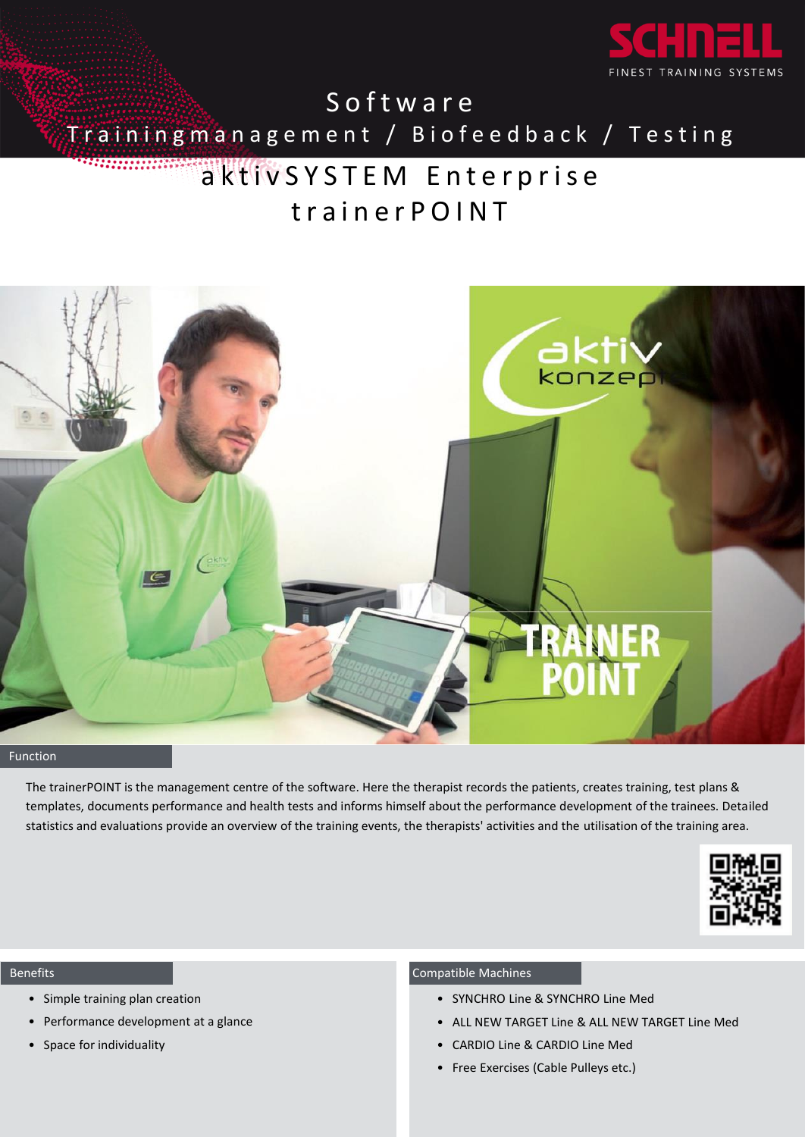

Training management / Biofeedback / Testing

# aktiv SYSTEM Enterprise trainer POINT



# **Function**

The trainerPOINT is the management centre of the software. Here the therapist records the patients, creates training, test plans & templates, documents performance and health tests and informs himself about the performance development of the trainees. Detailed statistics and evaluations provide an overview of the training events, the therapists' activities and the utilisation of the training area.



#### Benefits

- Simple training plan creation
- Performance development at a glance
- Space for individuality

# Compatible Machines

- SYNCHRO Line & SYNCHRO Line Med
- ALL NEW TARGET Line & ALL NEW TARGET Line Med
- CARDIO Line & CARDIO Line Med
- Free Exercises (Cable Pulleys etc.)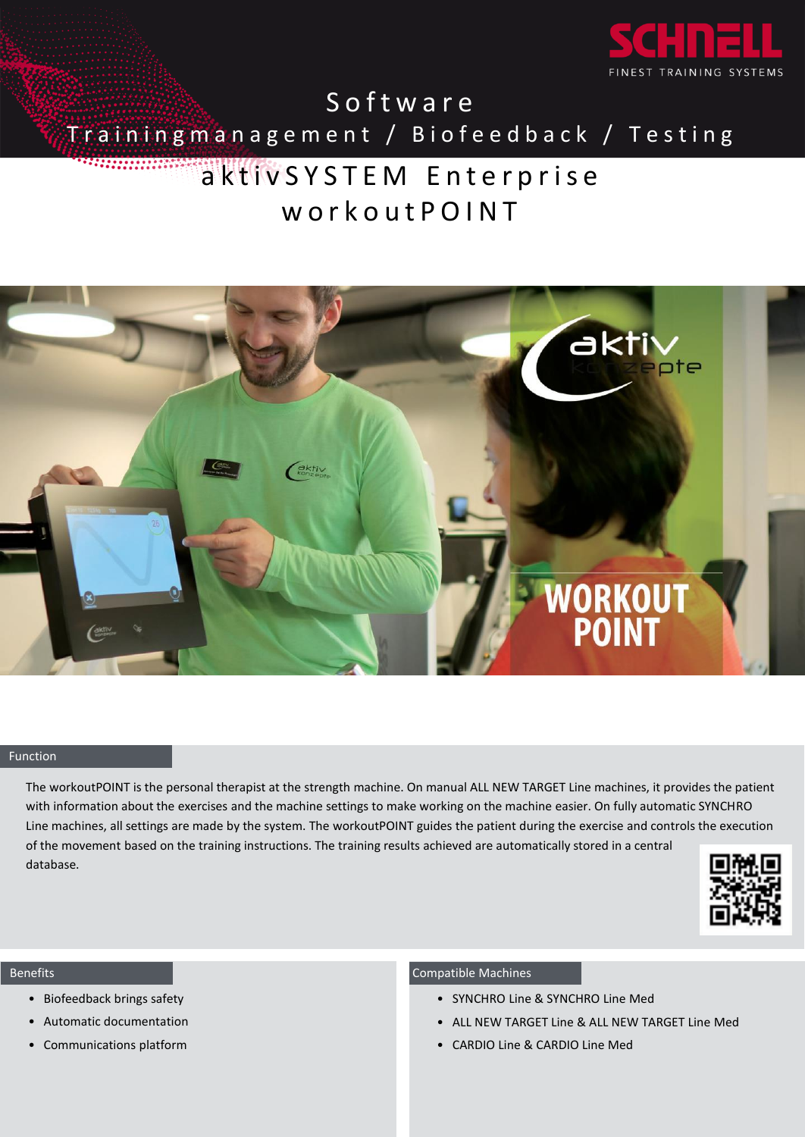

**Software** 

Training management / Biofeed back / Testing

# aktiv SYSTEM Enterprise w o r k o u t P O I N T



### Function

The workoutPOINT is the personal therapist at the strength machine. On manual ALL NEW TARGET Line machines, it provides the patient with information about the exercises and the machine settings to make working on the machine easier. On fully automatic SYNCHRO Line machines, all settings are made by the system. The workoutPOINT guides the patient during the exercise and controls the execution of the movement based on the training instructions. The training results achieved are automatically stored in a central database.



#### Benefits

- Biofeedback brings safety
- Automatic documentation
- Communications platform

### Compatible Machines

- SYNCHRO Line & SYNCHRO Line Med
- ALL NEW TARGET Line & ALL NEW TARGET Line Med
- CARDIO Line & CARDIO Line Med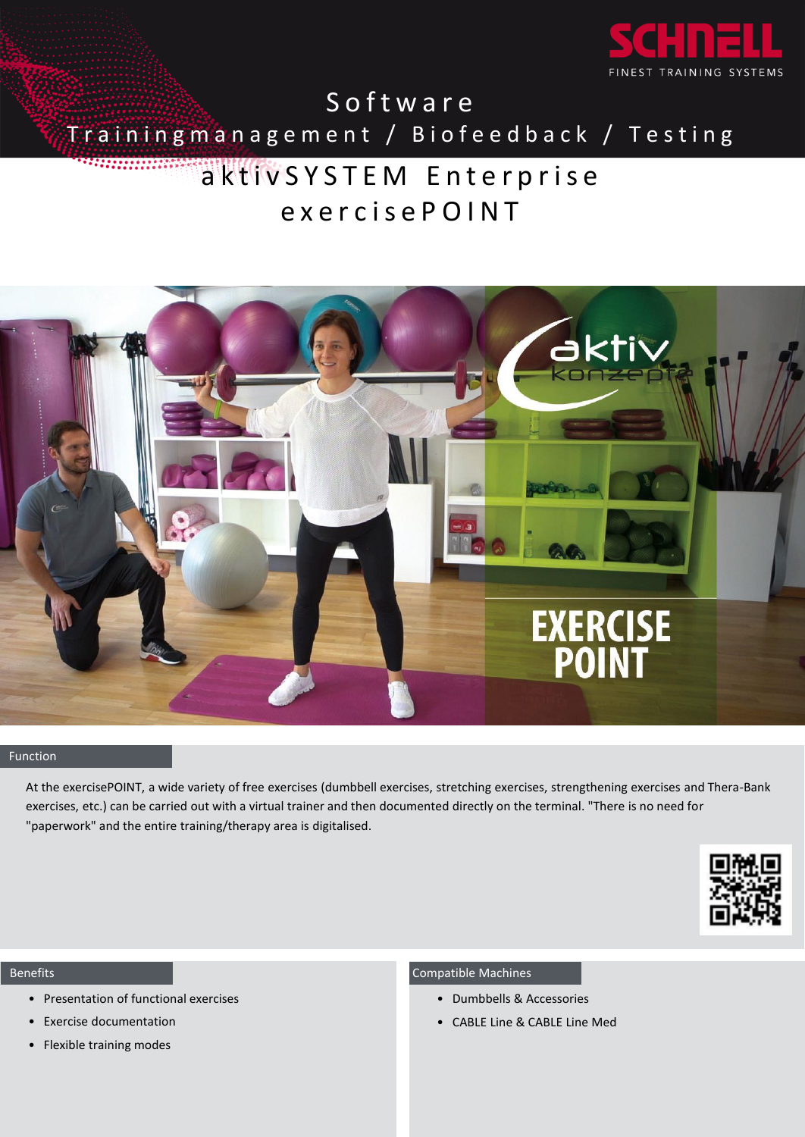

Training management / Biofeedback / Testing

# a ktiv S Y S T E M E n t e r p r i s e exercise POINT



### Function

At the exercisePOINT, a wide variety of free exercises (dumbbell exercises, stretching exercises, strengthening exercises and Thera-Bank exercises, etc.) can be carried out with a virtual trainer and then documented directly on the terminal. "There is no need for "paperwork" and the entire training/therapy area is digitalised.



#### Benefits

- Presentation of functional exercises
- Exercise documentation
- Flexible training modes

### Compatible Machines

- Dumbbells & Accessories
- CABLE Line & CABLE Line Med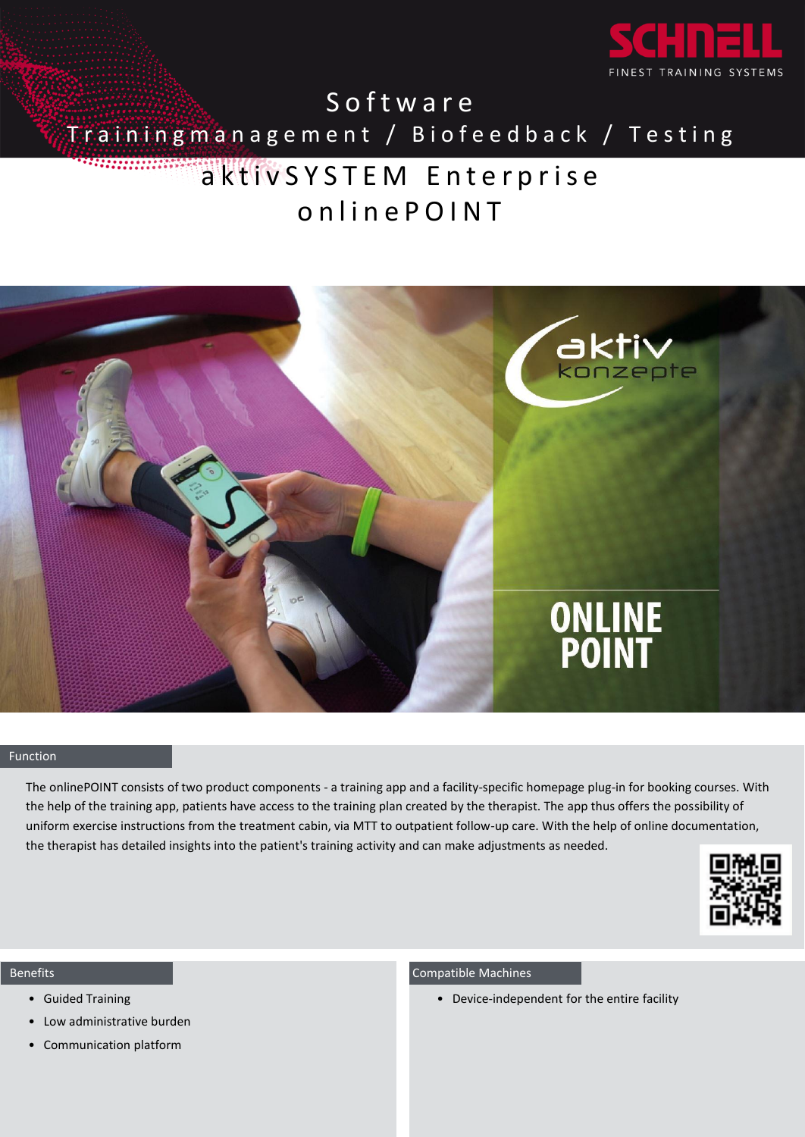

# Trainingmanagement / Biofeedback / Testing

# aktiv S Y S T E M Enterprise online POINT



### Function

The onlinePOINT consists of two product components - a training app and a facility-specific homepage plug-in for booking courses. With the help of the training app, patients have access to the training plan created by the therapist. The app thus offers the possibility of uniform exercise instructions from the treatment cabin, via MTT to outpatient follow-up care. With the help of online documentation, the therapist has detailed insights into the patient's training activity and can make adjustments as needed.



#### Benefits

- Guided Training
- Low administrative burden
- Communication platform

## Compatible Machines

• Device-independent for the entire facility